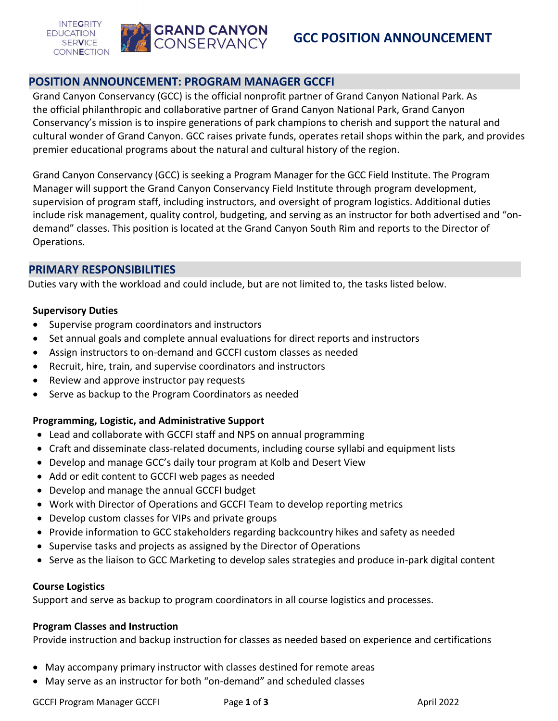



## **POSITION ANNOUNCEMENT: PROGRAM MANAGER GCCFI**

Grand Canyon Conservancy (GCC) is the official nonprofit partner of Grand Canyon National Park. As the official philanthropic and collaborative partner of Grand Canyon National Park, Grand Canyon Conservancy's mission is to inspire generations of park champions to cherish and support the natural and cultural wonder of Grand Canyon. GCC raises private funds, operates retail shops within the park, and provides premier educational programs about the natural and cultural history of the region.

Grand Canyon Conservancy (GCC) is seeking a Program Manager for the GCC Field Institute. The Program Manager will support the Grand Canyon Conservancy Field Institute through program development, supervision of program staff, including instructors, and oversight of program logistics. Additional duties include risk management, quality control, budgeting, and serving as an instructor for both advertised and "ondemand" classes. This position is located at the Grand Canyon South Rim and reports to the Director of Operations.

#### **PRIMARY RESPONSIBILITIES**

Duties vary with the workload and could include, but are not limited to, the tasks listed below.

#### **Supervisory Duties**

- Supervise program coordinators and instructors
- Set annual goals and complete annual evaluations for direct reports and instructors
- Assign instructors to on-demand and GCCFI custom classes as needed
- Recruit, hire, train, and supervise coordinators and instructors
- Review and approve instructor pay requests
- Serve as backup to the Program Coordinators as needed

#### **Programming, Logistic, and Administrative Support**

- Lead and collaborate with GCCFI staff and NPS on annual programming
- Craft and disseminate class-related documents, including course syllabi and equipment lists
- Develop and manage GCC's daily tour program at Kolb and Desert View
- Add or edit content to GCCFI web pages as needed
- Develop and manage the annual GCCFI budget
- Work with Director of Operations and GCCFI Team to develop reporting metrics
- Develop custom classes for VIPs and private groups
- Provide information to GCC stakeholders regarding backcountry hikes and safety as needed
- Supervise tasks and projects as assigned by the Director of Operations
- Serve as the liaison to GCC Marketing to develop sales strategies and produce in-park digital content

#### **Course Logistics**

Support and serve as backup to program coordinators in all course logistics and processes.

#### **Program Classes and Instruction**

Provide instruction and backup instruction for classes as needed based on experience and certifications

- May accompany primary instructor with classes destined for remote areas
- May serve as an instructor for both "on-demand" and scheduled classes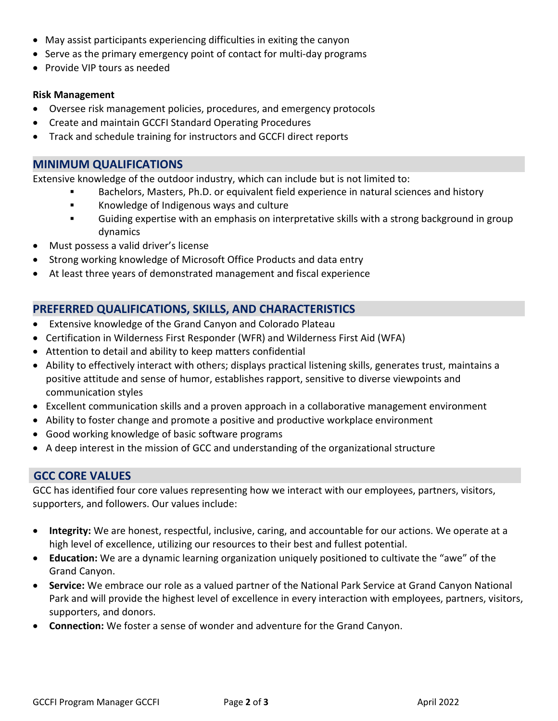- May assist participants experiencing difficulties in exiting the canyon
- Serve as the primary emergency point of contact for multi-day programs
- Provide VIP tours as needed

#### **Risk Management**

- Oversee risk management policies, procedures, and emergency protocols
- Create and maintain GCCFI Standard Operating Procedures
- Track and schedule training for instructors and GCCFI direct reports

### **MINIMUM QUALIFICATIONS**

Extensive knowledge of the outdoor industry, which can include but is not limited to:

- Bachelors, Masters, Ph.D. or equivalent field experience in natural sciences and history
	- **Knowledge of Indigenous ways and culture**
	- Guiding expertise with an emphasis on interpretative skills with a strong background in group dynamics
- Must possess a valid driver's license
- Strong working knowledge of Microsoft Office Products and data entry
- At least three years of demonstrated management and fiscal experience

# **PREFERRED QUALIFICATIONS, SKILLS, AND CHARACTERISTICS**

- Extensive knowledge of the Grand Canyon and Colorado Plateau
- Certification in Wilderness First Responder (WFR) and Wilderness First Aid (WFA)
- Attention to detail and ability to keep matters confidential
- Ability to effectively interact with others; displays practical listening skills, generates trust, maintains a positive attitude and sense of humor, establishes rapport, sensitive to diverse viewpoints and communication styles
- Excellent communication skills and a proven approach in a collaborative management environment
- Ability to foster change and promote a positive and productive workplace environment
- Good working knowledge of basic software programs
- A deep interest in the mission of GCC and understanding of the organizational structure

## **GCC CORE VALUES**

GCC has identified four core values representing how we interact with our employees, partners, visitors, supporters, and followers. Our values include:

- **Integrity:** We are honest, respectful, inclusive, caring, and accountable for our actions. We operate at a high level of excellence, utilizing our resources to their best and fullest potential.
- **Education:** We are a dynamic learning organization uniquely positioned to cultivate the "awe" of the Grand Canyon.
- **Service:** We embrace our role as a valued partner of the National Park Service at Grand Canyon National Park and will provide the highest level of excellence in every interaction with employees, partners, visitors, supporters, and donors.
- **Connection:** We foster a sense of wonder and adventure for the Grand Canyon.